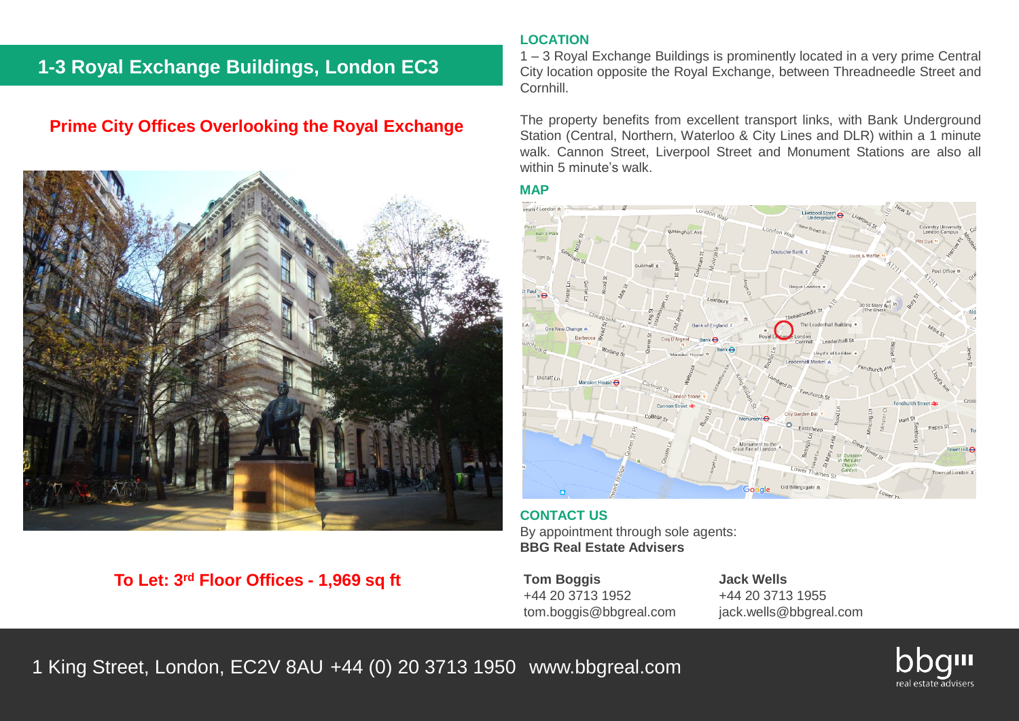# **1-3 Royal Exchange Buildings, London EC3**

# **Prime City Offices Overlooking the Royal Exchange**



# **To Let: 3rd Floor Offices - 1,969 sq ft**

### **LOCATION**

1 – 3 Royal Exchange Buildings is prominently located in a very prime Central City location opposite the Royal Exchange, between Threadneedle Street and Cornhill.

The property benefits from excellent transport links, with Bank Underground Station (Central, Northern, Waterloo & City Lines and DLR) within a 1 minute walk. Cannon Street, Liverpool Street and Monument Stations are also all within 5 minute's walk.

#### **MAP**



**CONTACT US** By appointment through sole agents: **BBG Real Estate Advisers**

**Tom Boggis Jack Wells** +44 20 3713 1952 +44 20 3713 1955 tom.boggis@bbgreal.com jack.wells@bbgreal.com

1 King Street, London, EC2V 8AU +44 (0) 20 3713 1950 www.bbgreal.com